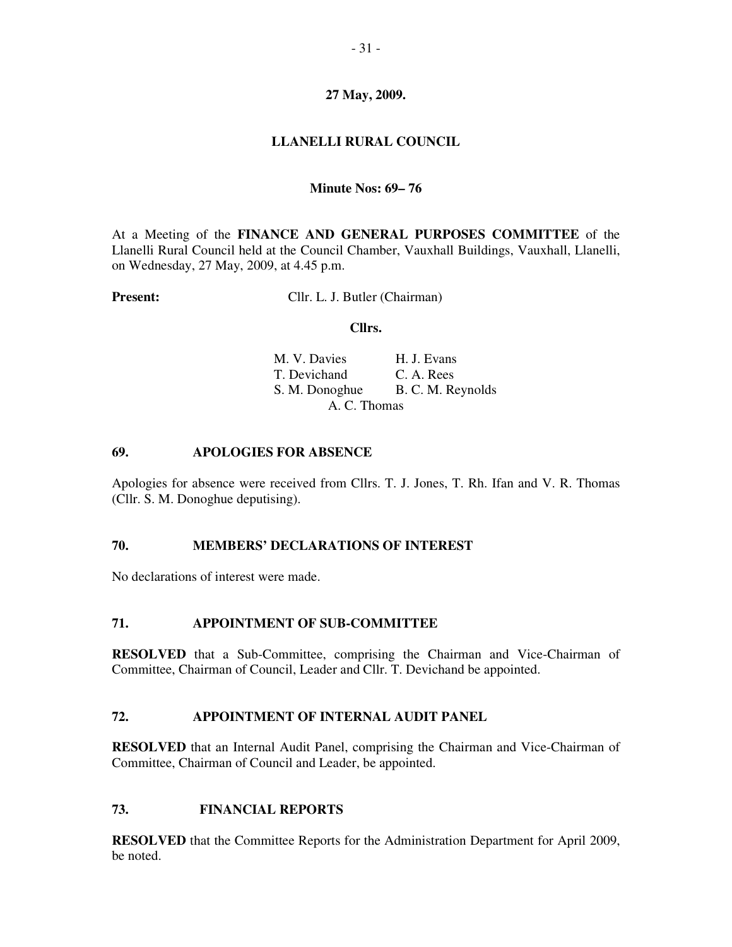# **27 May, 2009.**

# **LLANELLI RURAL COUNCIL**

#### **Minute Nos: 69– 76**

At a Meeting of the **FINANCE AND GENERAL PURPOSES COMMITTEE** of the Llanelli Rural Council held at the Council Chamber, Vauxhall Buildings, Vauxhall, Llanelli, on Wednesday, 27 May, 2009, at 4.45 p.m.

**Present:** Cllr. L. J. Butler (Chairman)

#### **Cllrs.**

| M. V. Davies   | H. J. Evans       |
|----------------|-------------------|
| T. Devichand   | C. A. Rees        |
| S. M. Donoghue | B. C. M. Reynolds |
| A. C. Thomas   |                   |

#### **69. APOLOGIES FOR ABSENCE**

Apologies for absence were received from Cllrs. T. J. Jones, T. Rh. Ifan and V. R. Thomas (Cllr. S. M. Donoghue deputising).

#### **70. MEMBERS' DECLARATIONS OF INTEREST**

No declarations of interest were made.

#### **71. APPOINTMENT OF SUB-COMMITTEE**

**RESOLVED** that a Sub-Committee, comprising the Chairman and Vice-Chairman of Committee, Chairman of Council, Leader and Cllr. T. Devichand be appointed.

#### **72. APPOINTMENT OF INTERNAL AUDIT PANEL**

**RESOLVED** that an Internal Audit Panel, comprising the Chairman and Vice-Chairman of Committee, Chairman of Council and Leader, be appointed.

## **73. FINANCIAL REPORTS**

**RESOLVED** that the Committee Reports for the Administration Department for April 2009, be noted.